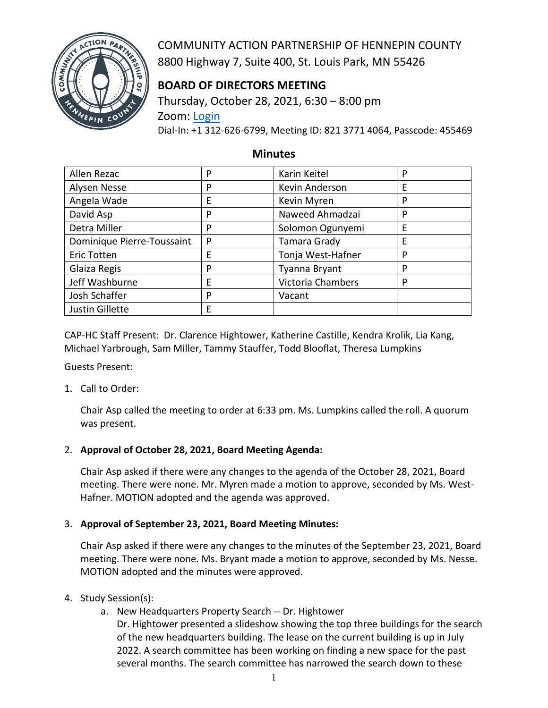

COMMUNITY ACTION PARTNERSHIP OF HENNEPIN COUNTY 8800 Highway 7, Suite 400, St. Louis Park, MN 55426

# **BOARD OF DIRECTORS MEETING**

Thursday, October 28, 2021, 6:30 – 8:00 pm Zoom: [Login](https://us02web.zoom.us/j/82137714064?pwd=N1dZY3NqWXFUbGR2UGZGdWdTNkNDdz09) Dial-In: +1 312-626-6799, Meeting ID: 821 3771 4064, Passcode: 455469

### **Minutes**

| Allen Rezac                | P | Karin Keitel      | P |
|----------------------------|---|-------------------|---|
| Alysen Nesse               | P | Kevin Anderson    | Е |
| Angela Wade                | E | Kevin Myren       | P |
| David Asp                  | P | Naweed Ahmadzai   | P |
| Detra Miller               | P | Solomon Ogunyemi  | Ε |
| Dominique Pierre-Toussaint | P | Tamara Grady      | E |
| Eric Totten                | E | Tonja West-Hafner | P |
| Glaiza Regis               | P | Tyanna Bryant     | P |
| Jeff Washburne             | E | Victoria Chambers | P |
| Josh Schaffer              | P | Vacant            |   |
| Justin Gillette            | E |                   |   |

CAP-HC Staff Present: Dr. Clarence Hightower, Katherine Castille, Kendra Krolik, Lia Kang, Michael Yarbrough, Sam Miller, Tammy Stauffer, Todd Blooflat, Theresa Lumpkins

Guests Present:

1. Call to Order:

Chair Asp called the meeting to order at 6:33 pm. Ms. Lumpkins called the roll. A quorum was present.

# 2. **Approval of October 28, 2021, Board Meeting Agenda:**

Chair Asp asked if there were any changes to the agenda of the October 28, 2021, Board meeting. There were none. Mr. Myren made a motion to approve, seconded by Ms. West-Hafner. MOTION adopted and the agenda was approved.

# 3. **Approval of September 23, 2021, Board Meeting Minutes:**

Chair Asp asked if there were any changes to the minutes of the September 23, 2021, Board meeting. There were none. Ms. Bryant made a motion to approve, seconded by Ms. Nesse. MOTION adopted and the minutes were approved.

- 4. Study Session(s):
	- a. New Headquarters Property Search -- Dr. Hightower

Dr. Hightower presented a slideshow showing the top three buildings for the search of the new headquarters building. The lease on the current building is up in July 2022. A search committee has been working on finding a new space for the past several months. The search committee has narrowed the search down to these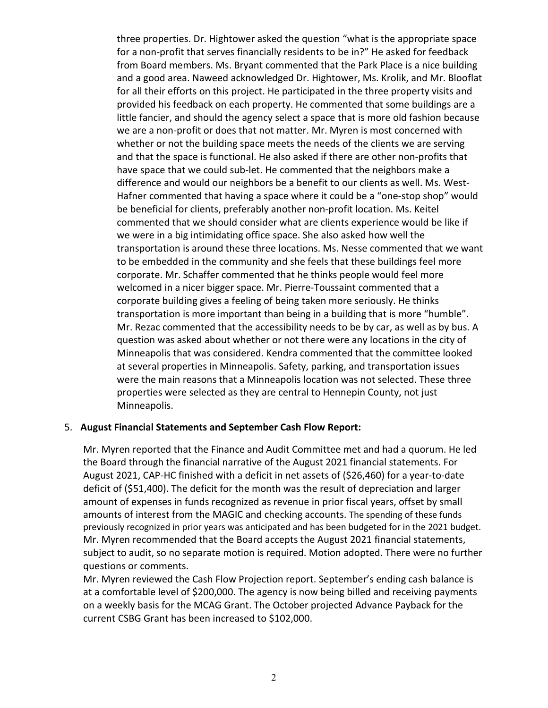three properties. Dr. Hightower asked the question "what is the appropriate space for a non-profit that serves financially residents to be in?" He asked for feedback from Board members. Ms. Bryant commented that the Park Place is a nice building and a good area. Naweed acknowledged Dr. Hightower, Ms. Krolik, and Mr. Blooflat for all their efforts on this project. He participated in the three property visits and provided his feedback on each property. He commented that some buildings are a little fancier, and should the agency select a space that is more old fashion because we are a non-profit or does that not matter. Mr. Myren is most concerned with whether or not the building space meets the needs of the clients we are serving and that the space is functional. He also asked if there are other non-profits that have space that we could sub-let. He commented that the neighbors make a difference and would our neighbors be a benefit to our clients as well. Ms. West-Hafner commented that having a space where it could be a "one-stop shop" would be beneficial for clients, preferably another non-profit location. Ms. Keitel commented that we should consider what are clients experience would be like if we were in a big intimidating office space. She also asked how well the transportation is around these three locations. Ms. Nesse commented that we want to be embedded in the community and she feels that these buildings feel more corporate. Mr. Schaffer commented that he thinks people would feel more welcomed in a nicer bigger space. Mr. Pierre-Toussaint commented that a corporate building gives a feeling of being taken more seriously. He thinks transportation is more important than being in a building that is more "humble". Mr. Rezac commented that the accessibility needs to be by car, as well as by bus. A question was asked about whether or not there were any locations in the city of Minneapolis that was considered. Kendra commented that the committee looked at several properties in Minneapolis. Safety, parking, and transportation issues were the main reasons that a Minneapolis location was not selected. These three properties were selected as they are central to Hennepin County, not just Minneapolis.

#### 5. **August Financial Statements and September Cash Flow Report:**

Mr. Myren reported that the Finance and Audit Committee met and had a quorum. He led the Board through the financial narrative of the August 2021 financial statements. For August 2021, CAP-HC finished with a deficit in net assets of (\$26,460) for a year-to-date deficit of (\$51,400). The deficit for the month was the result of depreciation and larger amount of expenses in funds recognized as revenue in prior fiscal years, offset by small amounts of interest from the MAGIC and checking accounts. The spending of these funds previously recognized in prior years was anticipated and has been budgeted for in the 2021 budget. Mr. Myren recommended that the Board accepts the August 2021 financial statements, subject to audit, so no separate motion is required. Motion adopted. There were no further questions or comments.

Mr. Myren reviewed the Cash Flow Projection report. September's ending cash balance is at a comfortable level of \$200,000. The agency is now being billed and receiving payments on a weekly basis for the MCAG Grant. The October projected Advance Payback for the current CSBG Grant has been increased to \$102,000.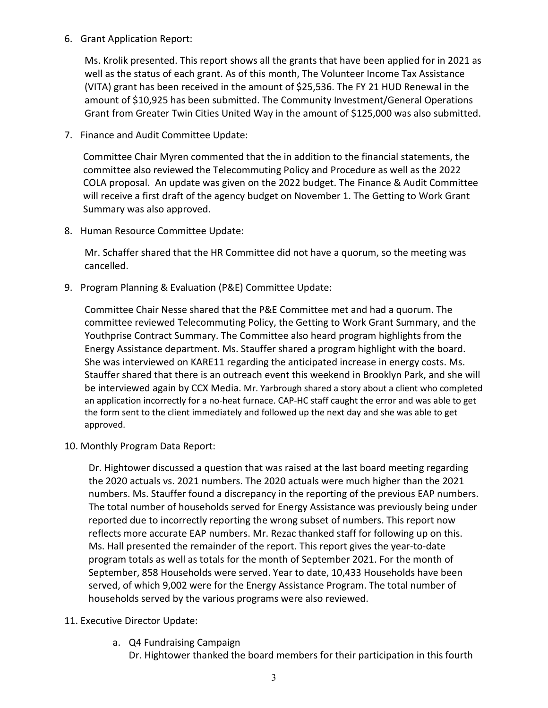6. Grant Application Report:

Ms. Krolik presented. This report shows all the grants that have been applied for in 2021 as well as the status of each grant. As of this month, The Volunteer Income Tax Assistance (VITA) grant has been received in the amount of \$25,536. The FY 21 HUD Renewal in the amount of \$10,925 has been submitted. The Community Investment/General Operations Grant from Greater Twin Cities United Way in the amount of \$125,000 was also submitted.

7. Finance and Audit Committee Update:

Committee Chair Myren commented that the in addition to the financial statements, the committee also reviewed the Telecommuting Policy and Procedure as well as the 2022 COLA proposal. An update was given on the 2022 budget. The Finance & Audit Committee will receive a first draft of the agency budget on November 1. The Getting to Work Grant Summary was also approved.

8. Human Resource Committee Update:

Mr. Schaffer shared that the HR Committee did not have a quorum, so the meeting was cancelled.

9. Program Planning & Evaluation (P&E) Committee Update:

Committee Chair Nesse shared that the P&E Committee met and had a quorum. The committee reviewed Telecommuting Policy, the Getting to Work Grant Summary, and the Youthprise Contract Summary. The Committee also heard program highlights from the Energy Assistance department. Ms. Stauffer shared a program highlight with the board. She was interviewed on KARE11 regarding the anticipated increase in energy costs. Ms. Stauffer shared that there is an outreach event this weekend in Brooklyn Park, and she will be interviewed again by CCX Media. Mr. Yarbrough shared a story about a client who completed an application incorrectly for a no-heat furnace. CAP-HC staff caught the error and was able to get the form sent to the client immediately and followed up the next day and she was able to get approved.

10. Monthly Program Data Report:

Dr. Hightower discussed a question that was raised at the last board meeting regarding the 2020 actuals vs. 2021 numbers. The 2020 actuals were much higher than the 2021 numbers. Ms. Stauffer found a discrepancy in the reporting of the previous EAP numbers. The total number of households served for Energy Assistance was previously being under reported due to incorrectly reporting the wrong subset of numbers. This report now reflects more accurate EAP numbers. Mr. Rezac thanked staff for following up on this. Ms. Hall presented the remainder of the report. This report gives the year-to-date program totals as well as totals for the month of September 2021. For the month of September, 858 Households were served. Year to date, 10,433 Households have been served, of which 9,002 were for the Energy Assistance Program. The total number of households served by the various programs were also reviewed.

- 11. Executive Director Update:
	- a. Q4 Fundraising Campaign

Dr. Hightower thanked the board members for their participation in this fourth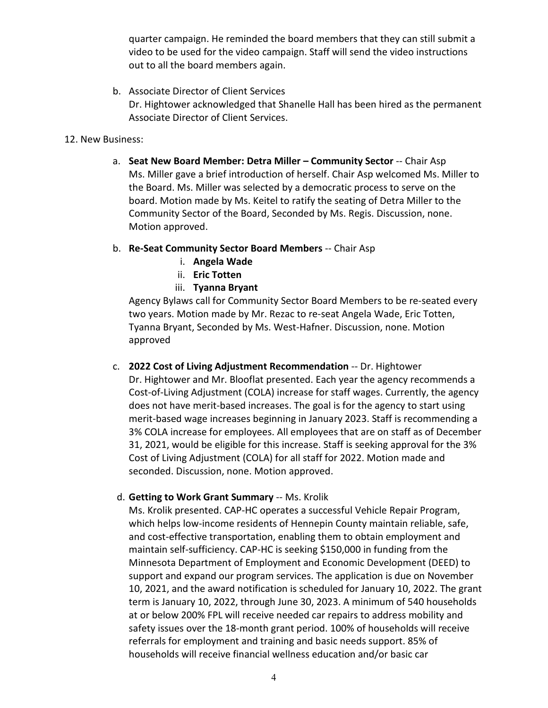quarter campaign. He reminded the board members that they can still submit a video to be used for the video campaign. Staff will send the video instructions out to all the board members again.

b. Associate Director of Client Services Dr. Hightower acknowledged that Shanelle Hall has been hired as the permanent Associate Director of Client Services.

#### 12. New Business:

- a. **Seat New Board Member: Detra Miller – Community Sector** -- Chair Asp Ms. Miller gave a brief introduction of herself. Chair Asp welcomed Ms. Miller to the Board. Ms. Miller was selected by a democratic process to serve on the board. Motion made by Ms. Keitel to ratify the seating of Detra Miller to the Community Sector of the Board, Seconded by Ms. Regis. Discussion, none. Motion approved.
- b. **Re-Seat Community Sector Board Members** -- Chair Asp
	- i. **Angela Wade**
	- ii. **Eric Totten**
	- iii. **Tyanna Bryant**

Agency Bylaws call for Community Sector Board Members to be re-seated every two years. Motion made by Mr. Rezac to re-seat Angela Wade, Eric Totten, Tyanna Bryant, Seconded by Ms. West-Hafner. Discussion, none. Motion approved

- c. **2022 Cost of Living Adjustment Recommendation** -- Dr. Hightower Dr. Hightower and Mr. Blooflat presented. Each year the agency recommends a Cost-of-Living Adjustment (COLA) increase for staff wages. Currently, the agency does not have merit-based increases. The goal is for the agency to start using merit-based wage increases beginning in January 2023. Staff is recommending a 3% COLA increase for employees. All employees that are on staff as of December 31, 2021, would be eligible for this increase. Staff is seeking approval for the 3% Cost of Living Adjustment (COLA) for all staff for 2022. Motion made and seconded. Discussion, none. Motion approved.
- d. **Getting to Work Grant Summary** -- Ms. Krolik

Ms. Krolik presented. CAP-HC operates a successful Vehicle Repair Program, which helps low-income residents of Hennepin County maintain reliable, safe, and cost-effective transportation, enabling them to obtain employment and maintain self-sufficiency. CAP-HC is seeking \$150,000 in funding from the Minnesota Department of Employment and Economic Development (DEED) to support and expand our program services. The application is due on November 10, 2021, and the award notification is scheduled for January 10, 2022. The grant term is January 10, 2022, through June 30, 2023. A minimum of 540 households at or below 200% FPL will receive needed car repairs to address mobility and safety issues over the 18-month grant period. 100% of households will receive referrals for employment and training and basic needs support. 85% of households will receive financial wellness education and/or basic car